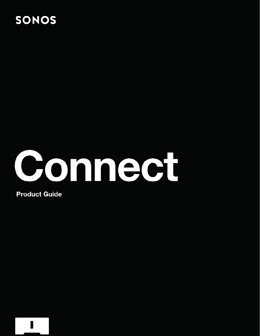# **SONOS**



**Product Guide**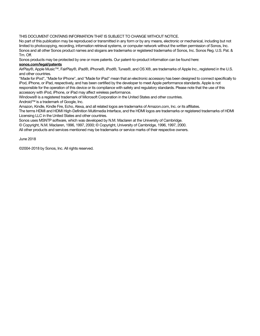THIS DOCUMENT CONTAINS INFORMATION THAT IS SUBJECT TO CHANGE WITHOUT NOTICE.

No part of this publication may be reproduced or transmitted in any form or by any means, electronic or mechanical, including but not limited to photocopying, recording, information retrieval systems, or computer network without the written permission of Sonos, Inc. Sonos and all other Sonos product names and slogans are trademarks or registered trademarks of Sonos, Inc. Sonos Reg. U.S. Pat. & Tm. Off.

Sonos products may be protected by one or more patents. Our patent-to-product information can be found here:

#### sonos.com/legal/patents

AirPlay®, Apple Music™, FairPlay®, iPad®, iPhone®, iPod®, Tunes®, and OS X®, are trademarks of Apple Inc., registered in the U.S. and other countries.

"Made for iPod", "Made for iPhone", and "Made for iPad" mean that an electronic accessory has been designed to connect specifically to iPod, iPhone, or iPad, respectively, and has been certified by the developer to meet Apple performance standards. Apple is not responsible for the operation of this device or its compliance with safety and regulatory standards. Please note that the use of this accessory with iPod, iPhone, or iPad may affect wireless performance.

Windows® is a registered trademark of Microsoft Corporation in the United States and other countries.

Android™ is a trademark of Google, Inc.

Amazon, Kindle, Kindle Fire, Echo, Alexa, and all related logos are trademarks of Amazon.com, Inc. or its affiliates.

The terms HDMI and HDMI High-Definition Multimedia Interface, and the HDMI logos are trademarks or registered trademarks of HDMI Licensing LLC in the United States and other countries.

Sonos uses MSNTP software, which was developed by N.M. Maclaren at the University of Cambridge.

© Copyright, N.M. Maclaren, 1996, 1997, 2000; © Copyright, University of Cambridge, 1996, 1997, 2000.

All other products and services mentioned may be trademarks or service marks of their respective owners.

June 2018

©2004-2018 by Sonos, Inc. All rights reserved.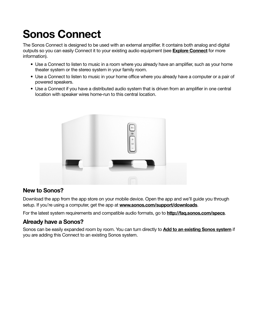# Sonos Connect

The Sonos Connect is designed to be used with an external amplifier. It contains both analog and digital outputs so you can easily Connect it to your existing audio equipment (see **[Explore Connect](#page-3-0)** for more information).

- Use a Connect to listen to music in a room where you already have an amplifier, such as your home theater system or the stereo system in your family room.
- Use a Connect to listen to music in your home office where you already have a computer or a pair of powered speakers.
- Use a Connect if you have a distributed audio system that is driven from an amplifier in one central location with speaker wires home-run to this central location.



### New to Sonos?

Download the app from the app store on your mobile device. Open the app and we'll guide you through setup. If you're using a computer, get the app at **[www.sonos.com/support/downloads](http://www.sonos.com/support/downloads)**.

For the latest system requirements and compatible audio formats, go to **<http://faq.sonos.com/specs>**.

### Already have a Sonos?

Sonos can be easily expanded room by room. You can turn directly to [Add to an existing Sonos system](#page-3-0) if you are adding this Connect to an existing Sonos system.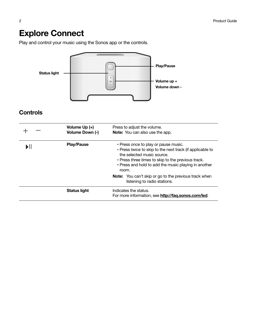# <span id="page-3-0"></span>Explore Connect

Play and control your music using the Sonos app or the controls.



### **Controls**

| Volume Up (+)<br>Volume Down (-) | Press to adjust the volume.<br><b>Note:</b> You can also use the app.                                                                                                                                                                                  |
|----------------------------------|--------------------------------------------------------------------------------------------------------------------------------------------------------------------------------------------------------------------------------------------------------|
| <b>Play/Pause</b>                | • Press once to play or pause music.<br>. Press twice to skip to the next track (if applicable to<br>the selected music source.<br>• Press three times to skip to the previous track.<br>• Press and hold to add the music playing in another<br>room. |
|                                  | Note: You can't skip or go to the previous track when<br>listening to radio stations.                                                                                                                                                                  |
| <b>Status light</b>              | Indicates the status.<br>For more information, see http://faq.sonos.com/led.                                                                                                                                                                           |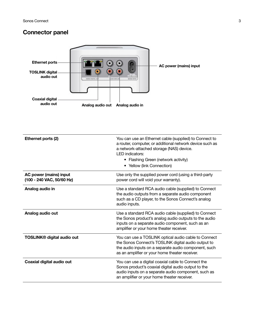### Connector panel



| Ethernet ports (2)                                  | You can use an Ethernet cable (supplied) to Connect to<br>a router, computer, or additional network device such as<br>a network-attached storage (NAS) device.<br><b>LED</b> indicators:<br>• Flashing Green (network activity)<br>• Yellow (link Connection) |
|-----------------------------------------------------|---------------------------------------------------------------------------------------------------------------------------------------------------------------------------------------------------------------------------------------------------------------|
| AC power (mains) input<br>(100 - 240 VAC, 50/60 Hz) | Use only the supplied power cord (using a third-party<br>power cord will void your warranty).                                                                                                                                                                 |
| Analog audio in                                     | Use a standard RCA audio cable (supplied) to Connect<br>the audio outputs from a separate audio component<br>such as a CD player, to the Sonos Connect's analog<br>audio inputs.                                                                              |
| Analog audio out                                    | Use a standard RCA audio cable (supplied) to Connect<br>the Sonos product's analog audio outputs to the audio<br>inputs on a separate audio component, such as an<br>amplifier or your home theater receiver.                                                 |
| <b>TOSLINK®</b> digital audio out                   | You can use a TOSLINK optical audio cable to Connect<br>the Sonos Connect's TOSLINK digital audio output to<br>the audio inputs on a separate audio component, such<br>as an amplifier or your home theater receiver.                                         |
| Coaxial digital audio out                           | You can use a digital coaxial cable to Connect the<br>Sonos product's coaxial digital audio output to the<br>audio inputs on a separate audio component, such as<br>an amplifier or your home theater receiver.                                               |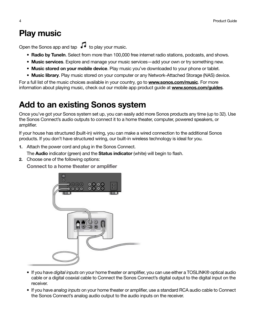# Play music

Open the Sonos app and  $tan$   $\overline{1}$  to play your music.

- Radio by TuneIn. Select from more than 100,000 free internet radio stations, podcasts, and shows.
- Music services. Explore and manage your music services add your own or try something new.
- Music stored on your mobile device. Play music you've downloaded to your phone or tablet.
- Music library. Play music stored on your computer or any Network-Attached Storage (NAS) device.

For a full list of the music choices available in your country, go to [www.sonos.com/music](http://www.sonos.com/music). For more information about playing music, check out our mobile app product guide at **[www.sonos.com/guides](http://www.sonos.com/guides)**.

# Add to an existing Sonos system

Once you've got your Sonos system set up, you can easily add more Sonos products any time (up to 32). Use the Sonos Connect's audio outputs to connect it to a home theater, computer, powered speakers, or amplifier.

If your house has structured (built-in) wiring, you can make a wired connection to the additional Sonos products. If you don't have structured wiring, our built-in wireless technology is ideal for you.

- 1. Attach the power cord and plug in the Sonos Connect.
- The **Audio** indicator (green) and the **Status indicator** (white) will begin to flash.
- 2. Choose one of the following options:

Connect to a home theater or amplifier



- If you have *digital inputs* on your home theater or amplifier, you can use either a TOSLINK® optical audio cable or a digital coaxial cable to Connect the Sonos Connect's digital output to the digital input on the receiver.
- If you have analog inputs on your home theater or amplifier, use a standard RCA audio cable to Connect the Sonos Connect's analog audio output to the audio inputs on the receiver.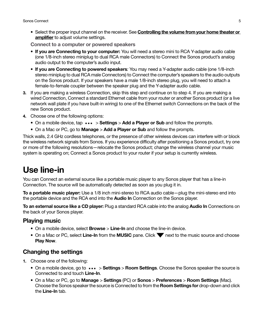• Select the proper input channel on the receiver. See **Controlling the volume from your home theater or** [amplifier](#page-8-0) to adjust volume settings.

Connect to a computer or powered speakers

- If you are Connecting to your computer: You will need a stereo mini to RCA Y-adapter audio cable (one 1/8-inch stereo miniplug to dual RCA male Connectors) to Connect the Sonos product's analog audio output to the computer's audio input.
- If you are Connecting to powered speakers: You may need a Y-adapter audio cable (one 1/8-inch stereo miniplug to dual RCA male Connectors) to Connect the computer's speakers to the audio outputs on the Sonos product. If your speakers have a male 1/8-inch stereo plug, you will need to attach a female-to-female coupler between the speaker plug and the Y-adapter audio cable.
- 3. If you are making a wireless Connection, skip this step and continue on to step 4. If you are making a wired Connection, Connect a standard Ethernet cable from your router or another Sonos product (or a live network wall plate if you have built-in wiring) to one of the Ethernet switch Connections on the back of the new Sonos product.
- 4. Choose one of the following options:
	- On a mobile device, tap  $\cdots$  > Settings > Add a Player or Sub and follow the prompts.
	- On a Mac or PC, go to **Manage > Add a Player or Sub** and follow the prompts.

Thick walls, 2.4 GHz cordless telephones, or the presence of other wireless devices can interfere with or block the wireless network signals from Sonos. If you experience difficulty after positioning a Sonos product, try one or more of the following resolutions—relocate the Sonos product; change the wireless channel your music system is operating on; Connect a Sonos product to your router if your setup is currently wireless.

## Use line-in

You can Connect an external source like a portable music player to any Sonos player that has a line-in Connection. The source will be automatically detected as soon as you plug it in.

To a portable music player: Use a 1/8 inch mini-stereo to RCA audio cable—plug the mini-stereo end into the portable device and the RCA end into the **Audio In** Connection on the Sonos player.

To an external source like a CD player: Plug a standard RCA cable into the analog Audio In Connections on the back of your Sonos player.

#### Playing music

- On a mobile device, select **Browse** > Line-In and choose the line-in device.
- On a Mac or PC, select Line-In from the MUSIC pane. Click  $\blacktriangledown$  next to the music source and choose Play Now.

#### Changing the settings

- 1. Choose one of the following:
	- On a mobile device, go to  $\cdots$  > Settings > Room Settings. Choose the Sonos speaker the source is Connected to and touch Line-In.
	- On a Mac or PC, go to Manage > Settings (PC) or Sonos > Preferences > Room Settings (Mac). Choose the Sonos speaker the source is Connected to from the **Room Settings for** drop-down and click the Line-In tab.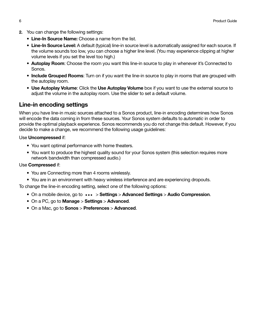- 2. You can change the following settings:
	- Line-In Source Name: Choose a name from the list.
	- Line-In Source Level: A default (typical) line-in source level is automatically assigned for each source. If the volume sounds too low, you can choose a higher line level. (You may experience clipping at higher volume levels if you set the level too high.)
	- Autoplay Room: Choose the room you want this line-in source to play in whenever it's Connected to Sonos.
	- Include Grouped Rooms: Turn on if you want the line-in source to play in rooms that are grouped with the autoplay room.
	- Use Autoplay Volume: Click the Use Autoplay Volume box if you want to use the external source to adjust the volume in the autoplay room. Use the slider to set a default volume.

### Line-in encoding settings

When you have line-in music sources attached to a Sonos product, line-in encoding determines how Sonos will encode the data coming in from these sources. Your Sonos system defaults to *automatic* in order to provide the optimal playback experience. Sonos recommends you do not change this default. However, if you decide to make a change, we recommend the following usage guidelines:

#### Use Uncompressed if:

- You want optimal performance with home theaters.
- You want to produce the highest quality sound for your Sonos system (this selection requires more network bandwidth than compressed audio.)

#### Use Compressed if:

- You are Connecting more than 4 rooms wirelessly.
- You are in an environment with heavy wireless interference and are experiencing dropouts.

To change the line-in encoding setting, select one of the following options:

- On a mobile device, go to  $\cdots$  > Settings > Advanced Settings > Audio Compression.
- On a PC, go to **Manage** > Settings > Advanced.
- On a Mac, go to **Sonos** > **Preferences** > **Advanced.**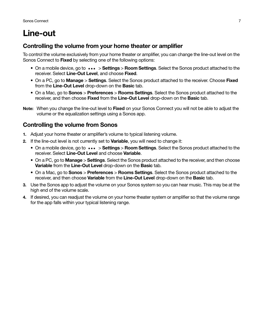# Line-out

### <span id="page-8-0"></span>Controlling the volume from your home theater or amplifier

To control the volume exclusively from your home theater or amplifier, you can change the line-out level on the Sonos Connect to Fixed by selecting one of the following options:

- On a mobile device, go to  $\cdots$  > Settings > Room Settings. Select the Sonos product attached to the receiver. Select Line-Out Level, and choose Fixed.
- On a PC, go to **Manage** > Settings. Select the Sonos product attached to the receiver. Choose Fixed from the Line-Out Level drop-down on the Basic tab.
- On a Mac, go to Sonos > Preferences > Rooms Settings. Select the Sonos product attached to the receiver, and then choose Fixed from the Line-Out Level drop-down on the Basic tab.
- Note: When you change the line-out level to Fixed on your Sonos Connect you will not be able to adjust the volume or the equalization settings using a Sonos app.

### Controlling the volume from Sonos

- 1. Adjust your home theater or amplifier's volume to typical listening volume.
- 2. If the line-out level is not currently set to Variable, you will need to change it:
	- On a mobile device, go to  $\cdots$  > Settings > Room Settings. Select the Sonos product attached to the receiver. Select Line-Out Level and choose Variable.
	- On a PC, go to **Manage > Settings**. Select the Sonos product attached to the receiver, and then choose Variable from the Line-Out Level drop-down on the Basic tab.
	- On a Mac, go to Sonos > Preferences > Rooms Settings. Select the Sonos product attached to the receiver, and then choose Variable from the Line-Out Level drop-down on the Basic tab.
- 3. Use the Sonos app to adjust the volume on your Sonos system so you can hear music. This may be at the high end of the volume scale.
- 4. If desired, you can readjust the volume on your home theater system or amplifier so that the volume range for the app falls within your typical listening range.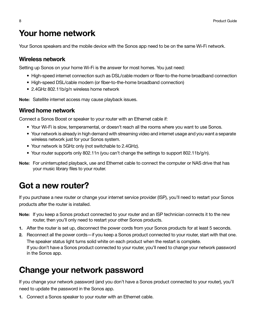# Your home network

Your Sonos speakers and the mobile device with the Sonos app need to be on the same Wi-Fi network.

### Wireless network

Setting up Sonos on your home Wi-Fi is the answer for most homes. You just need:

- High-speed internet connection such as DSL/cable modem or fiber-to-the-home broadband connection
- High-speed DSL/cable modem (or fiber-to-the-home broadband connection)
- 2.4GHz 802.11b/g/n wireless home network

Note: Satellite internet access may cause playback issues.

### Wired home network

Connect a Sonos Boost or speaker to your router with an Ethernet cable if:

- Your Wi-Fi is slow, temperamental, or doesn't reach all the rooms where you want to use Sonos.
- Your network is already in high demand with streaming video and internet usage and you want a separate wireless network just for your Sonos system.
- Your network is 5GHz only (not switchable to 2.4GHz).
- Your router supports only 802.11n (you can't change the settings to support 802.11b/g/n).
- Note: For uninterrupted playback, use and Ethernet cable to connect the computer or NAS drive that has your music library files to your router.

## Got a new router?

If you purchase a new router or change your internet service provider (ISP), you'll need to restart your Sonos products after the router is installed.

- Note: If you keep a Sonos product connected to your router and an ISP technician connects it to the new router, then you'll only need to restart your other Sonos products.
- 1. After the router is set up, disconnect the power cords from your Sonos products for at least 5 seconds.
- 2. Reconnect all the power cords—if you keep a Sonos product connected to your router, start with that one. The speaker status light turns solid white on each product when the restart is complete. If you don't have a Sonos product connected to your router, you'll need to change your network password in the Sonos app.

## Change your network password

If you change your network password (and you don't have a Sonos product connected to your router), you'll need to update the password in the Sonos app.

1. Connect a Sonos speaker to your router with an Ethernet cable.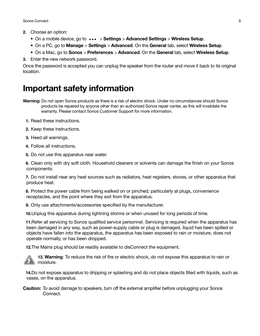- 2. Choose an option:
	- On a mobile device, go to  $\cdots$  > Settings > Advanced Settings > Wireless Setup.
	- On a PC, go to Manage > Settings > Advanced. On the General tab, select Wireless Setup.
	- On a Mac, go to Sonos > Preferences > Advanced. On the General tab, select Wireless Setup.

3. Enter the new network password.

Once the password is accepted you can unplug the speaker from the router and move it back to its original location.

### Important safety information

Warning: Do not open Sonos products as there is a risk of electric shock. Under no circumstances should Sonos products be repaired by anyone other than an authorized Sonos repair center, as this will invalidate the warranty. Please contact Sonos Customer Support for more information.

- 1. Read these instructions.
- 2. Keep these instructions.
- 3. Heed all warnings.
- 4. Follow all instructions.
- 5. Do not use this apparatus near water.

6. Clean only with dry soft cloth. Household cleaners or solvents can damage the finish on your Sonos components.

7. Do not install near any heat sources such as radiators, heat registers, stoves, or other apparatus that produce heat.

8. Protect the power cable from being walked on or pinched, particularly at plugs, convenience receptacles, and the point where they exit from the apparatus.

9. Only use attachments/accessories specified by the manufacturer.

10. Unplug this apparatus during lightning storms or when unused for long periods of time.

11. Refer all servicing to Sonos qualified service personnel. Servicing is required when the apparatus has been damaged in any way, such as power-supply cable or plug is damaged, liquid has been spilled or objects have fallen into the apparatus, the apparatus has been exposed to rain or moisture, does not operate normally, or has been dropped.

12. The Mains plug should be readily available to disConnect the equipment.



13. Warning: To reduce the risk of fire or electric shock, do not expose this apparatus to rain or moisture.

14. Do not expose apparatus to dripping or splashing and do not place objects filled with liquids, such as vases, on the apparatus.

**Caution:** To avoid damage to speakers, turn off the external amplifier before unplugging your Sonos Connect.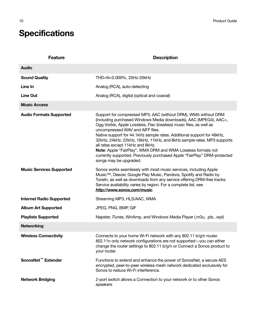# **Specifications**

| <b>Feature</b>                  | <b>Description</b>                                                                                                                                                                                                                                                                                                                                                                                                                                                                                                                                                                                           |
|---------------------------------|--------------------------------------------------------------------------------------------------------------------------------------------------------------------------------------------------------------------------------------------------------------------------------------------------------------------------------------------------------------------------------------------------------------------------------------------------------------------------------------------------------------------------------------------------------------------------------------------------------------|
| <b>Audio</b>                    |                                                                                                                                                                                                                                                                                                                                                                                                                                                                                                                                                                                                              |
| <b>Sound Quality</b>            | THD+N<0.009%, 20Hz-20kHz                                                                                                                                                                                                                                                                                                                                                                                                                                                                                                                                                                                     |
| Line In                         | Analog (RCA), auto-detecting                                                                                                                                                                                                                                                                                                                                                                                                                                                                                                                                                                                 |
| <b>Line Out</b>                 | Analog (RCA), digital (optical and coaxial)                                                                                                                                                                                                                                                                                                                                                                                                                                                                                                                                                                  |
| <b>Music Access</b>             |                                                                                                                                                                                                                                                                                                                                                                                                                                                                                                                                                                                                              |
| <b>Audio Formats Supported</b>  | Support for compressed MP3, AAC (without DRM), WMA without DRM<br>(including purchased Windows Media downloads), AAC (MPEG4), AAC+,<br>Ogg Vorbis, Apple Lossless, Flac (lossless) music files, as well as<br>uncompressed WAV and AIFF files.<br>Native support for 44.1kHz sample rates. Additional support for 48kHz,<br>32kHz, 24kHz, 22kHz, 16kHz, 11kHz, and 8kHz sample rates. MP3 supports<br>all rates except 11kHz and 8kHz.<br>Note: Apple "FairPlay", WMA DRM and WMA Lossless formats not<br>currently supported. Previously purchased Apple "FairPlay" DRM-protected<br>songs may be upgraded. |
| <b>Music Services Supported</b> | Sonos works seamlessly with most music services, including Apple<br>Music™, Deezer, Google Play Music, Pandora, Spotify and Radio by<br>Tuneln, as well as downloads from any service offering DRM-free tracks.<br>Service availability varies by region. For a complete list, see<br>http://www.sonos.com/music.                                                                                                                                                                                                                                                                                            |
| <b>Internet Radio Supported</b> | Streaming MP3, HLS/AAC, WMA                                                                                                                                                                                                                                                                                                                                                                                                                                                                                                                                                                                  |
| <b>Album Art Supported</b>      | JPEG, PNG, BMP, GIF                                                                                                                                                                                                                                                                                                                                                                                                                                                                                                                                                                                          |
| <b>Playlists Supported</b>      | Napster, iTunes, WinAmp, and Windows Media Player (m3u, .pls, .wpl)                                                                                                                                                                                                                                                                                                                                                                                                                                                                                                                                          |
| <b>Networking</b>               |                                                                                                                                                                                                                                                                                                                                                                                                                                                                                                                                                                                                              |
| <b>Wireless Connectivity</b>    | Connects to your home Wi-Fi network with any 802.11 b/g/n router.<br>802.11n only network configurations are not supported-you can either<br>change the router settings to 802.11 b/g/n or Connect a Sonos product to<br>your router.                                                                                                                                                                                                                                                                                                                                                                        |
| SonosNet <sup>™</sup> Extender  | Functions to extend and enhance the power of SonosNet, a secure AES<br>encrypted, peer-to-peer wireless mesh network dedicated exclusively for<br>Sonos to reduce Wi-Fi interference.                                                                                                                                                                                                                                                                                                                                                                                                                        |
| <b>Network Bridging</b>         | 2-port switch allows a Connection to your network or to other Sonos<br>speakers                                                                                                                                                                                                                                                                                                                                                                                                                                                                                                                              |